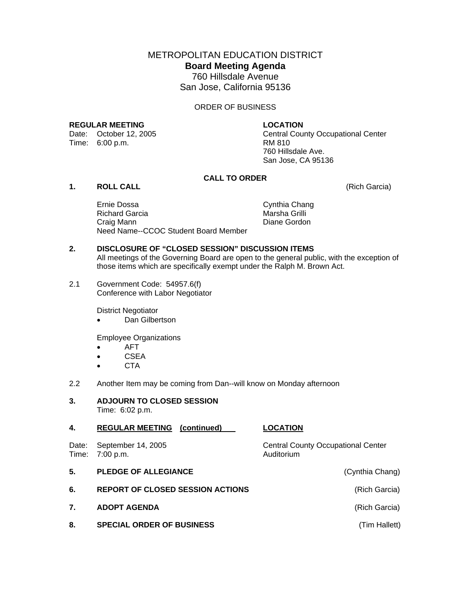# METROPOLITAN EDUCATION DISTRICT **Board Meeting Agenda**  760 Hillsdale Avenue San Jose, California 95136

### ORDER OF BUSINESS

#### **REGULAR MEETING LOCATION**

Date: October 12, 2005<br>
Time: 6:00 p.m. RM 810

Central County Occupational Center 760 Hillsdale Ave. San Jose, CA 95136

# **CALL TO ORDER**

# **1. ROLL CALL** (Rich Garcia)

 Ernie Dossa Cynthia Chang Richard Garcia **Marsha Grilli** Craig Mann **Diane Gordon** Need Name--CCOC Student Board Member

## **2. DISCLOSURE OF "CLOSED SESSION" DISCUSSION ITEMS**  All meetings of the Governing Board are open to the general public, with the exception of those items which are specifically exempt under the Ralph M. Brown Act.

2.1 Government Code: 54957.6(f) Conference with Labor Negotiator

District Negotiator

• Dan Gilbertson

Employee Organizations

- AFT
- CSEA
- CTA
- 2.2 Another Item may be coming from Dan--will know on Monday afternoon

| 3. | <b>ADJOURN TO CLOSED SESSION</b> |
|----|----------------------------------|
|    | Time: 6:02 p.m.                  |

| 4.             | <b>REGULAR MEETING (continued)</b>      | <b>LOCATION</b>                                         |
|----------------|-----------------------------------------|---------------------------------------------------------|
| Date:<br>Time: | September 14, 2005<br>7:00 p.m.         | <b>Central County Occupational Center</b><br>Auditorium |
| 5.             | <b>PLEDGE OF ALLEGIANCE</b>             | (Cynthia Chang)                                         |
| 6.             | <b>REPORT OF CLOSED SESSION ACTIONS</b> | (Rich Garcia)                                           |
| 7 <sub>1</sub> | <b>ADOPT AGENDA</b>                     | (Rich Garcia)                                           |
| 8.             | <b>SPECIAL ORDER OF BUSINESS</b>        | (Tim Hallett)                                           |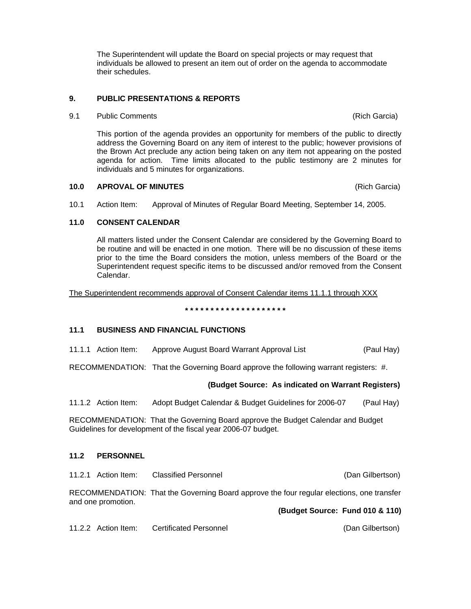The Superintendent will update the Board on special projects or may request that individuals be allowed to present an item out of order on the agenda to accommodate their schedules.

# **9. PUBLIC PRESENTATIONS & REPORTS**

# **9.1** Public Comments **Comments Comments Comments Comments Comments Comments Comments Comments Comments Comments Comments Comments Comments Comments Comments Comments Comments Comments C**

This portion of the agenda provides an opportunity for members of the public to directly address the Governing Board on any item of interest to the public; however provisions of the Brown Act preclude any action being taken on any item not appearing on the posted agenda for action. Time limits allocated to the public testimony are 2 minutes for individuals and 5 minutes for organizations.

#### **10.0 APROVAL OF MINUTES** (Rich Garcia)

10.1 Action Item: Approval of Minutes of Regular Board Meeting, September 14, 2005.

# **11.0 CONSENT CALENDAR**

All matters listed under the Consent Calendar are considered by the Governing Board to be routine and will be enacted in one motion. There will be no discussion of these items prior to the time the Board considers the motion, unless members of the Board or the Superintendent request specific items to be discussed and/or removed from the Consent Calendar.

The Superintendent recommends approval of Consent Calendar items 11.1.1 through XXX

**\* \* \* \* \* \* \* \* \* \* \* \* \* \* \* \* \* \* \* \*** 

# **11.1 BUSINESS AND FINANCIAL FUNCTIONS**

11.1.1 Action Item: Approve August Board Warrant Approval List (Paul Hay)

RECOMMENDATION: That the Governing Board approve the following warrant registers: #.

### **(Budget Source: As indicated on Warrant Registers)**

11.1.2 Action Item: Adopt Budget Calendar & Budget Guidelines for 2006-07 (Paul Hay)

RECOMMENDATION: That the Governing Board approve the Budget Calendar and Budget Guidelines for development of the fiscal year 2006-07 budget.

### **11.2 PERSONNEL**

11.2.1 Action Item: Classified Personnel (Dan Gilbertson)

RECOMMENDATION: That the Governing Board approve the four regular elections, one transfer and one promotion.

**(Budget Source: Fund 010 & 110)** 

11.2.2 Action Item: Certificated Personnel (Dan Gilbertson)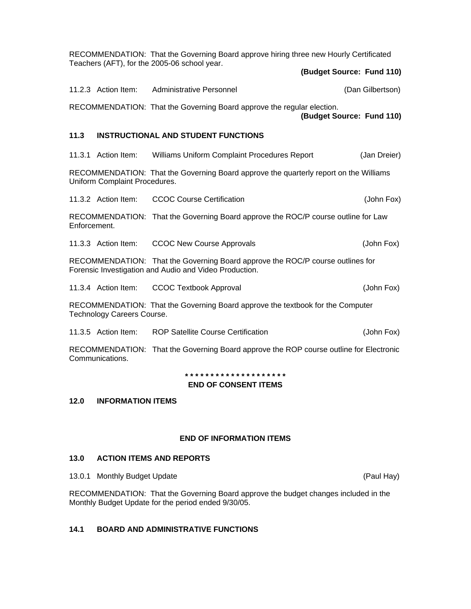|              |                                   | RECOMMENDATION: That the Governing Board approve hiring three new Hourly Certificated<br>Teachers (AFT), for the 2005-06 school year.    |                  |
|--------------|-----------------------------------|------------------------------------------------------------------------------------------------------------------------------------------|------------------|
|              |                                   | (Budget Source: Fund 110)                                                                                                                |                  |
|              | 11.2.3 Action Item:               | <b>Administrative Personnel</b>                                                                                                          | (Dan Gilbertson) |
|              |                                   | RECOMMENDATION: That the Governing Board approve the regular election.<br>(Budget Source: Fund 110)                                      |                  |
| 11.3         |                                   | <b>INSTRUCTIONAL AND STUDENT FUNCTIONS</b>                                                                                               |                  |
|              | 11.3.1 Action Item:               | Williams Uniform Complaint Procedures Report                                                                                             | (Jan Dreier)     |
|              | Uniform Complaint Procedures.     | RECOMMENDATION: That the Governing Board approve the quarterly report on the Williams                                                    |                  |
|              | 11.3.2 Action Item:               | <b>CCOC Course Certification</b>                                                                                                         | (John Fox)       |
| Enforcement. |                                   | RECOMMENDATION: That the Governing Board approve the ROC/P course outline for Law                                                        |                  |
|              | 11.3.3 Action Item:               | <b>CCOC New Course Approvals</b>                                                                                                         | (John Fox)       |
|              |                                   | RECOMMENDATION: That the Governing Board approve the ROC/P course outlines for<br>Forensic Investigation and Audio and Video Production. |                  |
|              | 11.3.4 Action Item:               | <b>CCOC Textbook Approval</b>                                                                                                            | (John Fox)       |
|              | <b>Technology Careers Course.</b> | RECOMMENDATION: That the Governing Board approve the textbook for the Computer                                                           |                  |
|              | 11.3.5 Action Item:               | <b>ROP Satellite Course Certification</b>                                                                                                | (John Fox)       |
|              | Communications.                   | RECOMMENDATION: That the Governing Board approve the ROP course outline for Electronic                                                   |                  |

#### **\* \* \* \* \* \* \* \* \* \* \* \* \* \* \* \* \* \* \* \***

# **END OF CONSENT ITEMS**

### **12.0 INFORMATION ITEMS**

#### **END OF INFORMATION ITEMS**

# **13.0 ACTION ITEMS AND REPORTS**

13.0.1 Monthly Budget Update (Paul Hay)

RECOMMENDATION: That the Governing Board approve the budget changes included in the Monthly Budget Update for the period ended 9/30/05.

# **14.1 BOARD AND ADMINISTRATIVE FUNCTIONS**